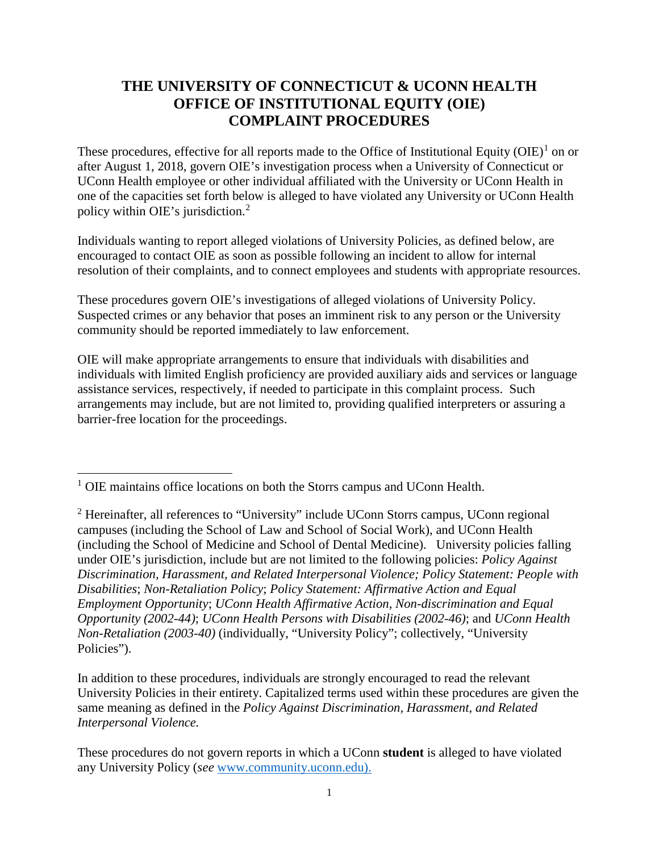# **THE UNIVERSITY OF CONNECTICUT & UCONN HEALTH OFFICE OF INSTITUTIONAL EQUITY (OIE) COMPLAINT PROCEDURES**

These procedures, effective for all reports made to the Office of Institutional Equity ( $OIE$ )<sup>[1](#page-0-0)</sup> on or after August 1, 2018, govern OIE's investigation process when a University of Connecticut or UConn Health employee or other individual affiliated with the University or UConn Health in one of the capacities set forth below is alleged to have violated any University or UConn Health policy within OIE's jurisdiction. [2](#page-0-1)

Individuals wanting to report alleged violations of University Policies, as defined below, are encouraged to contact OIE as soon as possible following an incident to allow for internal resolution of their complaints, and to connect employees and students with appropriate resources.

These procedures govern OIE's investigations of alleged violations of University Policy. Suspected crimes or any behavior that poses an imminent risk to any person or the University community should be reported immediately to law enforcement.

OIE will make appropriate arrangements to ensure that individuals with disabilities and individuals with limited English proficiency are provided auxiliary aids and services or language assistance services, respectively, if needed to participate in this complaint process. Such arrangements may include, but are not limited to, providing qualified interpreters or assuring a barrier-free location for the proceedings.

In addition to these procedures, individuals are strongly encouraged to read the relevant University Policies in their entirety. Capitalized terms used within these procedures are given the same meaning as defined in the *Policy Against Discrimination, Harassment, and Related Interpersonal Violence.* 

<span id="page-0-0"></span>l <sup>1</sup> OIE maintains office locations on both the Storrs campus and UConn Health.

<span id="page-0-1"></span><sup>2</sup> Hereinafter, all references to "University" include UConn Storrs campus, UConn regional campuses (including the School of Law and School of Social Work), and UConn Health (including the School of Medicine and School of Dental Medicine). University policies falling under OIE's jurisdiction, include but are not limited to the following policies: *Policy Against Discrimination, Harassment, and Related Interpersonal Violence; Policy Statement: People with Disabilities*; *Non-Retaliation Policy*; *Policy Statement: Affirmative Action and Equal Employment Opportunity*; *UConn Health Affirmative Action, Non-discrimination and Equal Opportunity (2002-44)*; *UConn Health Persons with Disabilities (2002-46)*; and *UConn Health Non-Retaliation (2003-40)* (individually, "University Policy"; collectively, "University Policies").

These procedures do not govern reports in which a UConn **student** is alleged to have violated any University Policy (*see* [www.community.uconn.edu\)](http://www.community.uconn.edu/).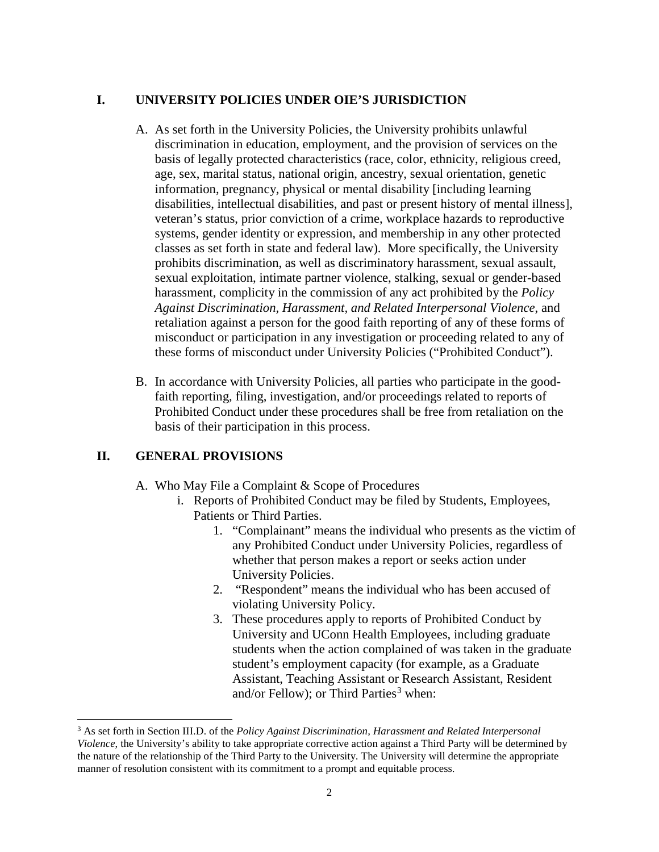## **I. UNIVERSITY POLICIES UNDER OIE'S JURISDICTION**

- A. As set forth in the University Policies, the University prohibits unlawful discrimination in education, employment, and the provision of services on the basis of legally protected characteristics (race, color, ethnicity, religious creed, age, sex, marital status, national origin, ancestry, sexual orientation, genetic information, pregnancy, physical or mental disability [including learning disabilities, intellectual disabilities, and past or present history of mental illness], veteran's status, prior conviction of a crime, workplace hazards to reproductive systems, gender identity or expression, and membership in any other protected classes as set forth in state and federal law). More specifically, the University prohibits discrimination, as well as discriminatory harassment, sexual assault, sexual exploitation, intimate partner violence, stalking, sexual or gender-based harassment, complicity in the commission of any act prohibited by the *Policy Against Discrimination, Harassment, and Related Interpersonal Violence*, and retaliation against a person for the good faith reporting of any of these forms of misconduct or participation in any investigation or proceeding related to any of these forms of misconduct under University Policies ("Prohibited Conduct").
- B. In accordance with University Policies, all parties who participate in the goodfaith reporting, filing, investigation, and/or proceedings related to reports of Prohibited Conduct under these procedures shall be free from retaliation on the basis of their participation in this process.

## **II. GENERAL PROVISIONS**

l

- A. Who May File a Complaint & Scope of Procedures
	- i. Reports of Prohibited Conduct may be filed by Students, Employees, Patients or Third Parties.
		- 1. "Complainant" means the individual who presents as the victim of any Prohibited Conduct under University Policies, regardless of whether that person makes a report or seeks action under University Policies.
		- 2. "Respondent" means the individual who has been accused of violating University Policy.
		- 3. These procedures apply to reports of Prohibited Conduct by University and UConn Health Employees, including graduate students when the action complained of was taken in the graduate student's employment capacity (for example, as a Graduate Assistant, Teaching Assistant or Research Assistant, Resident and/or Fellow); or Third Parties<sup>[3](#page-1-0)</sup> when:

<span id="page-1-0"></span><sup>3</sup> As set forth in Section III.D. of the *Policy Against Discrimination, Harassment and Related Interpersonal Violence*, the University's ability to take appropriate corrective action against a Third Party will be determined by the nature of the relationship of the Third Party to the University. The University will determine the appropriate manner of resolution consistent with its commitment to a prompt and equitable process.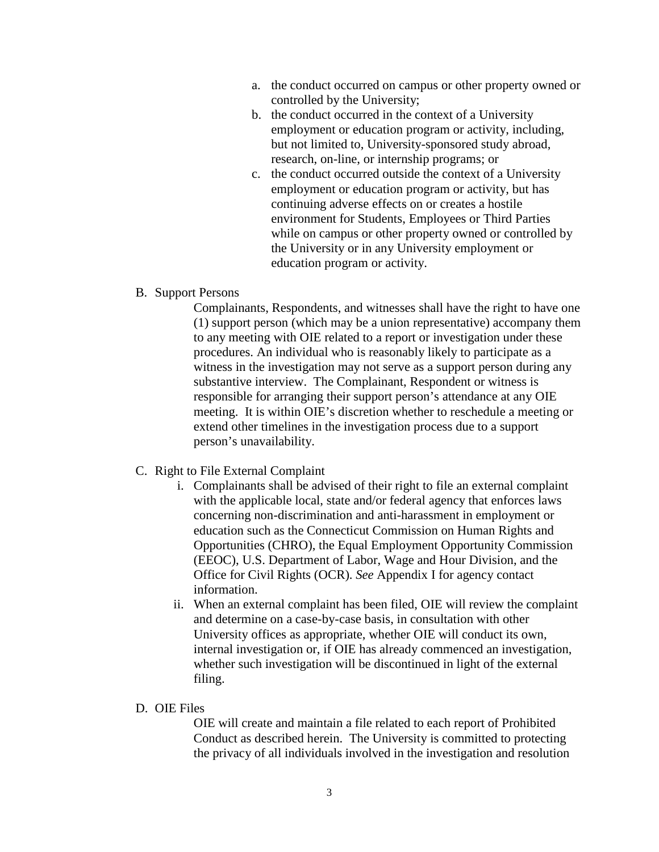- a. the conduct occurred on campus or other property owned or controlled by the University;
- b. the conduct occurred in the context of a University employment or education program or activity, including, but not limited to, University-sponsored study abroad, research, on-line, or internship programs; or
- c. the conduct occurred outside the context of a University employment or education program or activity, but has continuing adverse effects on or creates a hostile environment for Students, Employees or Third Parties while on campus or other property owned or controlled by the University or in any University employment or education program or activity.

#### B. Support Persons

Complainants, Respondents, and witnesses shall have the right to have one (1) support person (which may be a union representative) accompany them to any meeting with OIE related to a report or investigation under these procedures. An individual who is reasonably likely to participate as a witness in the investigation may not serve as a support person during any substantive interview. The Complainant, Respondent or witness is responsible for arranging their support person's attendance at any OIE meeting. It is within OIE's discretion whether to reschedule a meeting or extend other timelines in the investigation process due to a support person's unavailability.

## C. Right to File External Complaint

- i. Complainants shall be advised of their right to file an external complaint with the applicable local, state and/or federal agency that enforces laws concerning non-discrimination and anti-harassment in employment or education such as the Connecticut Commission on Human Rights and Opportunities (CHRO), the Equal Employment Opportunity Commission (EEOC), U.S. Department of Labor, Wage and Hour Division, and the Office for Civil Rights (OCR). *See* Appendix I for agency contact information.
- ii. When an external complaint has been filed, OIE will review the complaint and determine on a case-by-case basis, in consultation with other University offices as appropriate, whether OIE will conduct its own, internal investigation or, if OIE has already commenced an investigation, whether such investigation will be discontinued in light of the external filing.

#### D. OIE Files

OIE will create and maintain a file related to each report of Prohibited Conduct as described herein. The University is committed to protecting the privacy of all individuals involved in the investigation and resolution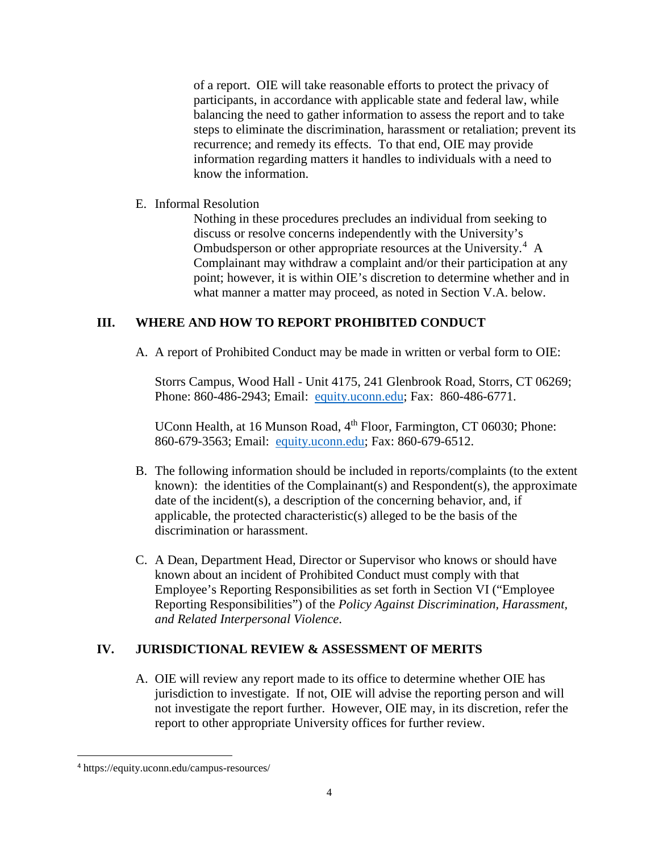of a report. OIE will take reasonable efforts to protect the privacy of participants, in accordance with applicable state and federal law, while balancing the need to gather information to assess the report and to take steps to eliminate the discrimination, harassment or retaliation; prevent its recurrence; and remedy its effects. To that end, OIE may provide information regarding matters it handles to individuals with a need to know the information.

E. Informal Resolution

Nothing in these procedures precludes an individual from seeking to discuss or resolve concerns independently with the University's Ombudsperson or other appropriate resources at the University.<sup>[4](#page-3-0)</sup> A Complainant may withdraw a complaint and/or their participation at any point; however, it is within OIE's discretion to determine whether and in what manner a matter may proceed, as noted in Section V.A. below.

# **III. WHERE AND HOW TO REPORT PROHIBITED CONDUCT**

A. A report of Prohibited Conduct may be made in written or verbal form to OIE:

Storrs Campus, Wood Hall - Unit 4175, 241 Glenbrook Road, Storrs, CT 06269; Phone: 860-486-2943; Email: [equity.uconn.edu;](mailto:equity@uconn.edu) Fax: 860-486-6771.

UConn Health, at 16 Munson Road, 4<sup>th</sup> Floor, Farmington, CT 06030; Phone: 860-679-3563; Email: [equity.uconn.edu;](http://equity.uconn.edu/) Fax: 860-679-6512.

- B. The following information should be included in reports/complaints (to the extent known): the identities of the Complainant(s) and Respondent(s), the approximate date of the incident(s), a description of the concerning behavior, and, if applicable, the protected characteristic(s) alleged to be the basis of the discrimination or harassment.
- C. A Dean, Department Head, Director or Supervisor who knows or should have known about an incident of Prohibited Conduct must comply with that Employee's Reporting Responsibilities as set forth in Section VI ("Employee Reporting Responsibilities") of the *Policy Against Discrimination, Harassment, and Related Interpersonal Violence*.

# **IV. JURISDICTIONAL REVIEW & ASSESSMENT OF MERITS**

A. OIE will review any report made to its office to determine whether OIE has jurisdiction to investigate. If not, OIE will advise the reporting person and will not investigate the report further. However, OIE may, in its discretion, refer the report to other appropriate University offices for further review.

<span id="page-3-0"></span> <sup>4</sup> https://equity.uconn.edu/campus-resources/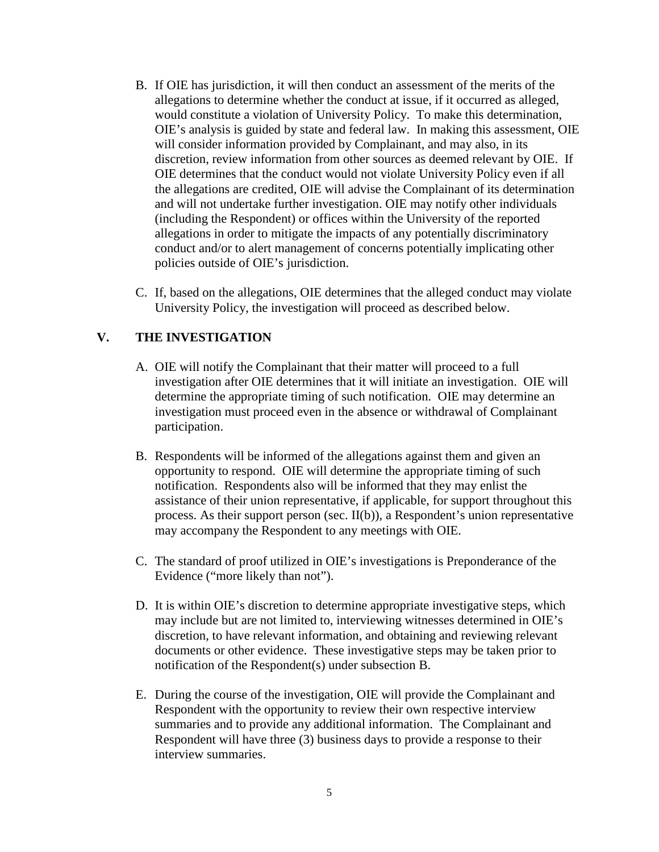- B. If OIE has jurisdiction, it will then conduct an assessment of the merits of the allegations to determine whether the conduct at issue, if it occurred as alleged, would constitute a violation of University Policy. To make this determination, OIE's analysis is guided by state and federal law. In making this assessment, OIE will consider information provided by Complainant, and may also, in its discretion, review information from other sources as deemed relevant by OIE. If OIE determines that the conduct would not violate University Policy even if all the allegations are credited, OIE will advise the Complainant of its determination and will not undertake further investigation. OIE may notify other individuals (including the Respondent) or offices within the University of the reported allegations in order to mitigate the impacts of any potentially discriminatory conduct and/or to alert management of concerns potentially implicating other policies outside of OIE's jurisdiction.
- C. If, based on the allegations, OIE determines that the alleged conduct may violate University Policy, the investigation will proceed as described below.

## **V. THE INVESTIGATION**

- A. OIE will notify the Complainant that their matter will proceed to a full investigation after OIE determines that it will initiate an investigation. OIE will determine the appropriate timing of such notification. OIE may determine an investigation must proceed even in the absence or withdrawal of Complainant participation.
- B. Respondents will be informed of the allegations against them and given an opportunity to respond. OIE will determine the appropriate timing of such notification. Respondents also will be informed that they may enlist the assistance of their union representative, if applicable, for support throughout this process. As their support person (sec. II(b)), a Respondent's union representative may accompany the Respondent to any meetings with OIE.
- C. The standard of proof utilized in OIE's investigations is Preponderance of the Evidence ("more likely than not").
- D. It is within OIE's discretion to determine appropriate investigative steps, which may include but are not limited to, interviewing witnesses determined in OIE's discretion, to have relevant information, and obtaining and reviewing relevant documents or other evidence. These investigative steps may be taken prior to notification of the Respondent(s) under subsection B.
- E. During the course of the investigation, OIE will provide the Complainant and Respondent with the opportunity to review their own respective interview summaries and to provide any additional information. The Complainant and Respondent will have three (3) business days to provide a response to their interview summaries.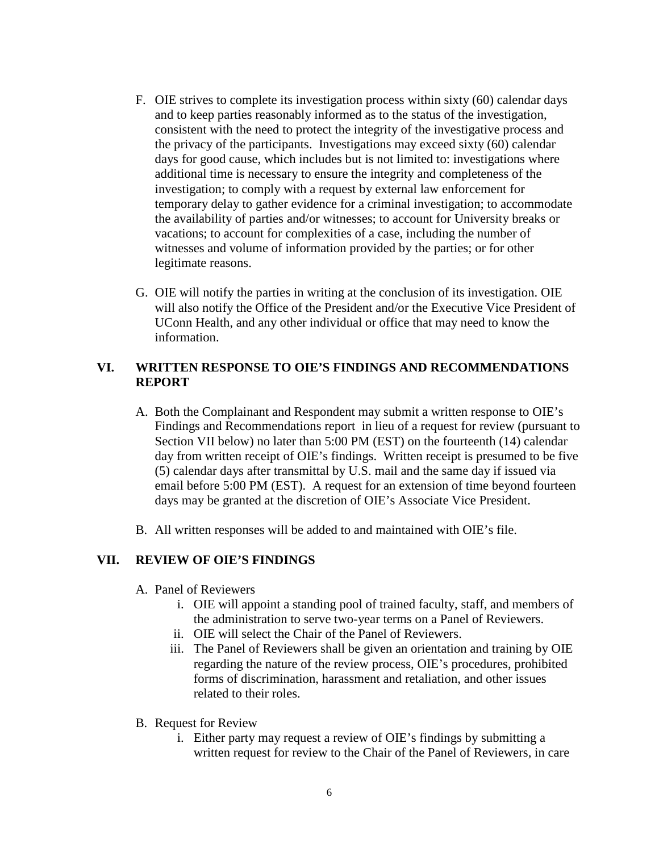- F. OIE strives to complete its investigation process within sixty (60) calendar days and to keep parties reasonably informed as to the status of the investigation, consistent with the need to protect the integrity of the investigative process and the privacy of the participants. Investigations may exceed sixty (60) calendar days for good cause, which includes but is not limited to: investigations where additional time is necessary to ensure the integrity and completeness of the investigation; to comply with a request by external law enforcement for temporary delay to gather evidence for a criminal investigation; to accommodate the availability of parties and/or witnesses; to account for University breaks or vacations; to account for complexities of a case, including the number of witnesses and volume of information provided by the parties; or for other legitimate reasons.
- G. OIE will notify the parties in writing at the conclusion of its investigation. OIE will also notify the Office of the President and/or the Executive Vice President of UConn Health, and any other individual or office that may need to know the information.

## **VI. WRITTEN RESPONSE TO OIE'S FINDINGS AND RECOMMENDATIONS REPORT**

- A. Both the Complainant and Respondent may submit a written response to OIE's Findings and Recommendations report in lieu of a request for review (pursuant to Section VII below) no later than 5:00 PM (EST) on the fourteenth (14) calendar day from written receipt of OIE's findings. Written receipt is presumed to be five (5) calendar days after transmittal by U.S. mail and the same day if issued via email before 5:00 PM (EST). A request for an extension of time beyond fourteen days may be granted at the discretion of OIE's Associate Vice President.
- B. All written responses will be added to and maintained with OIE's file.

## **VII. REVIEW OF OIE'S FINDINGS**

- A. Panel of Reviewers
	- i. OIE will appoint a standing pool of trained faculty, staff, and members of the administration to serve two-year terms on a Panel of Reviewers.
	- ii. OIE will select the Chair of the Panel of Reviewers.
	- iii. The Panel of Reviewers shall be given an orientation and training by OIE regarding the nature of the review process, OIE's procedures, prohibited forms of discrimination, harassment and retaliation, and other issues related to their roles.
- B. Request for Review
	- i. Either party may request a review of OIE's findings by submitting a written request for review to the Chair of the Panel of Reviewers, in care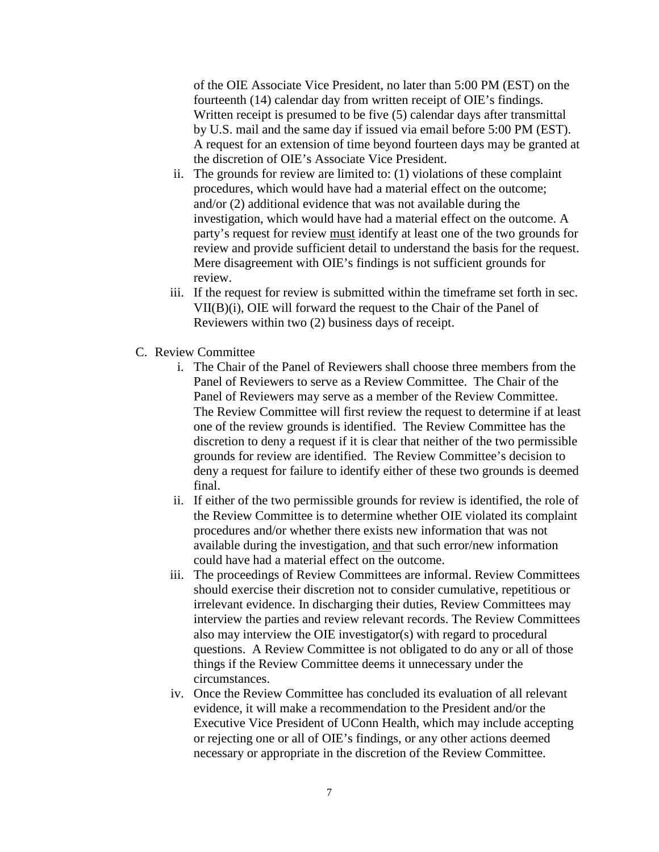of the OIE Associate Vice President, no later than 5:00 PM (EST) on the fourteenth (14) calendar day from written receipt of OIE's findings. Written receipt is presumed to be five (5) calendar days after transmittal by U.S. mail and the same day if issued via email before 5:00 PM (EST). A request for an extension of time beyond fourteen days may be granted at the discretion of OIE's Associate Vice President.

- ii. The grounds for review are limited to: (1) violations of these complaint procedures, which would have had a material effect on the outcome; and/or (2) additional evidence that was not available during the investigation, which would have had a material effect on the outcome. A party's request for review must identify at least one of the two grounds for review and provide sufficient detail to understand the basis for the request. Mere disagreement with OIE's findings is not sufficient grounds for review.
- iii. If the request for review is submitted within the timeframe set forth in sec. VII(B)(i), OIE will forward the request to the Chair of the Panel of Reviewers within two (2) business days of receipt.
- C. Review Committee
	- i. The Chair of the Panel of Reviewers shall choose three members from the Panel of Reviewers to serve as a Review Committee. The Chair of the Panel of Reviewers may serve as a member of the Review Committee. The Review Committee will first review the request to determine if at least one of the review grounds is identified. The Review Committee has the discretion to deny a request if it is clear that neither of the two permissible grounds for review are identified. The Review Committee's decision to deny a request for failure to identify either of these two grounds is deemed final.
	- ii. If either of the two permissible grounds for review is identified, the role of the Review Committee is to determine whether OIE violated its complaint procedures and/or whether there exists new information that was not available during the investigation, and that such error/new information could have had a material effect on the outcome.
	- iii. The proceedings of Review Committees are informal. Review Committees should exercise their discretion not to consider cumulative, repetitious or irrelevant evidence. In discharging their duties, Review Committees may interview the parties and review relevant records. The Review Committees also may interview the OIE investigator(s) with regard to procedural questions. A Review Committee is not obligated to do any or all of those things if the Review Committee deems it unnecessary under the circumstances.
	- iv. Once the Review Committee has concluded its evaluation of all relevant evidence, it will make a recommendation to the President and/or the Executive Vice President of UConn Health, which may include accepting or rejecting one or all of OIE's findings, or any other actions deemed necessary or appropriate in the discretion of the Review Committee.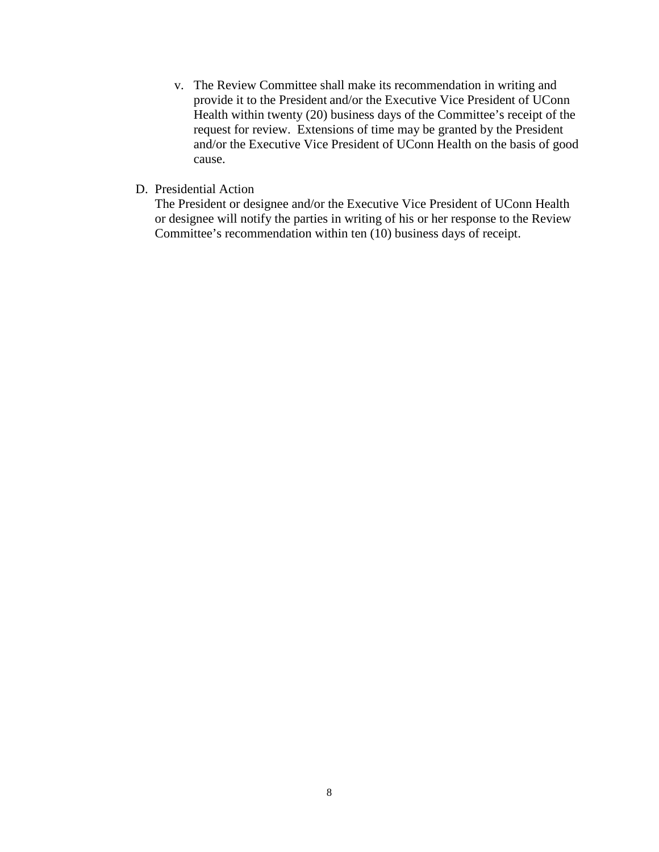- v. The Review Committee shall make its recommendation in writing and provide it to the President and/or the Executive Vice President of UConn Health within twenty (20) business days of the Committee's receipt of the request for review. Extensions of time may be granted by the President and/or the Executive Vice President of UConn Health on the basis of good cause.
- D. Presidential Action

The President or designee and/or the Executive Vice President of UConn Health or designee will notify the parties in writing of his or her response to the Review Committee's recommendation within ten (10) business days of receipt.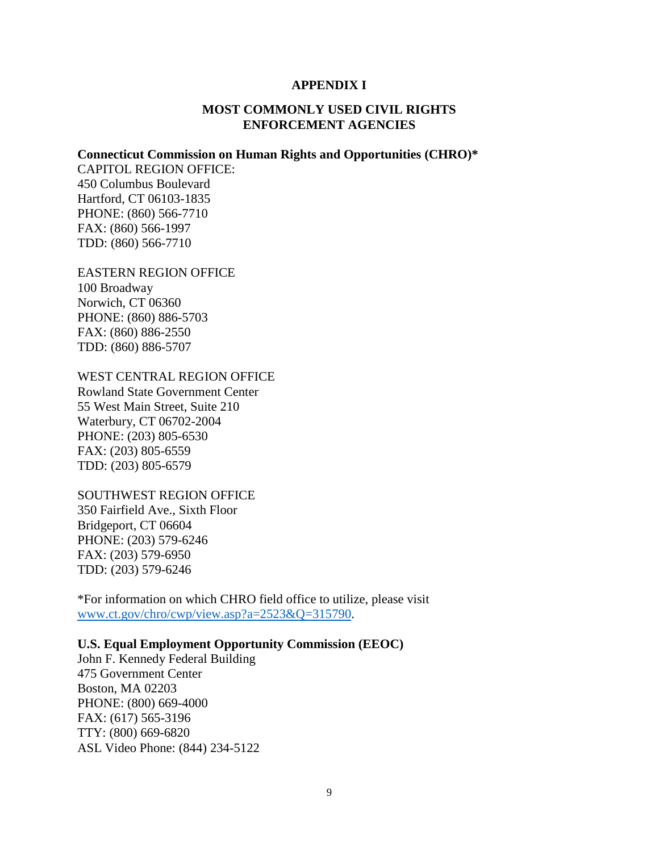#### **APPENDIX I**

#### **MOST COMMONLY USED CIVIL RIGHTS ENFORCEMENT AGENCIES**

#### **Connecticut Commission on Human Rights and Opportunities (CHRO)\***

CAPITOL REGION OFFICE: 450 Columbus Boulevard Hartford, CT 06103-1835 PHONE: (860) 566-7710 FAX: (860) 566-1997 TDD: (860) 566-7710

#### EASTERN REGION OFFICE

100 Broadway Norwich, CT 06360 PHONE: (860) 886-5703 FAX: (860) 886-2550 TDD: (860) 886-5707

#### WEST CENTRAL REGION OFFICE

Rowland State Government Center 55 West Main Street, Suite 210 Waterbury, CT 06702-2004 PHONE: (203) 805-6530 FAX: (203) 805-6559 TDD: (203) 805-6579

#### SOUTHWEST REGION OFFICE

350 Fairfield Ave., Sixth Floor Bridgeport, CT 06604 PHONE: (203) 579-6246 FAX: (203) 579-6950 TDD: (203) 579-6246

\*For information on which CHRO field office to utilize, please visit [www.ct.gov/chro/cwp/view.asp?a=2523&Q=315790.](http://www.ct.gov/chro/cwp/view.asp?a=2523&Q=315790)

#### **U.S. Equal Employment Opportunity Commission (EEOC)**

John F. Kennedy Federal Building 475 Government Center Boston, MA 02203 PHONE: (800) 669-4000 FAX: (617) 565-3196 TTY: (800) 669-6820 ASL Video Phone: (844) 234-5122